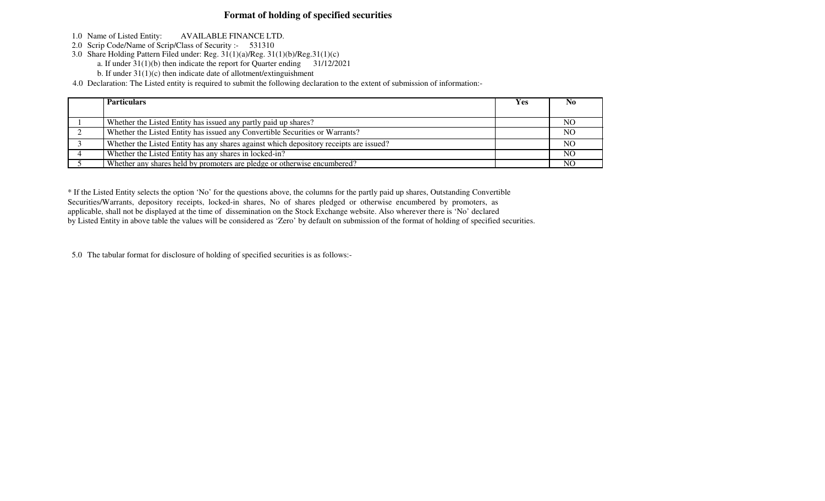## **Format of holding of specified securities**

- 1.0 Name of Listed Entity: AVAILABLE FINANCE LTD.
- 2.0 Scrip Code/Name of Scrip/Class of Security :- 531310
- 3.0 Share Holding Pattern Filed under: Reg. 31(1)(a)/Reg. 31(1)(b)/Reg.31(1)(c)
	- a. If under 31(1)(b) then indicate the report for Quarter ending 31/12/2021
	- b. If under 31(1)(c) then indicate date of allotment/extinguishment

4.0 Declaration: The Listed entity is required to submit the following declaration to the extent of submission of information:-

| <b>Particulars</b>                                                                     | Yes | N <sub>0</sub> |
|----------------------------------------------------------------------------------------|-----|----------------|
|                                                                                        |     |                |
| Whether the Listed Entity has issued any partly paid up shares?                        |     | N <sub>O</sub> |
| Whether the Listed Entity has issued any Convertible Securities or Warrants?           |     | N <sub>O</sub> |
| Whether the Listed Entity has any shares against which depository receipts are issued? |     | N <sub>O</sub> |
| Whether the Listed Entity has any shares in locked-in?                                 |     | N <sub>O</sub> |
| Whether any shares held by promoters are pledge or otherwise encumbered?               |     | NO             |

\* If the Listed Entity selects the option 'No' for the questions above, the columns for the partly paid up shares, Outstanding ConvertibleSecurities/Warrants, depository receipts, locked-in shares, No of shares pledged or otherwise encumbered by promoters, as applicable, shall not be displayed at the time of dissemination on the Stock Exchange website. Also wherever there is 'No' declaredby Listed Entity in above table the values will be considered as 'Zero' by default on submission of the format of holding of specified securities.

5.0 The tabular format for disclosure of holding of specified securities is as follows:-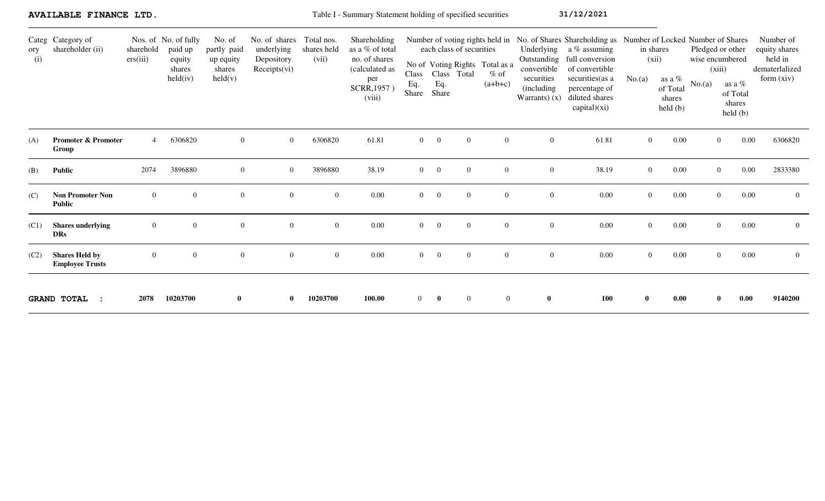|            | AVAILABLE FINANCE LTD.                          |                       |                                                                 |                                                                  |                                                           |                                    | Table I - Summary Statement holding of specified securities                                        |                       |                                                         |                  |                                                                                          |                                                                                         | 31/12/2021                                                                                                                                                                                                  |                |                                                                                  |                           |                                                                                           |                                                                       |
|------------|-------------------------------------------------|-----------------------|-----------------------------------------------------------------|------------------------------------------------------------------|-----------------------------------------------------------|------------------------------------|----------------------------------------------------------------------------------------------------|-----------------------|---------------------------------------------------------|------------------|------------------------------------------------------------------------------------------|-----------------------------------------------------------------------------------------|-------------------------------------------------------------------------------------------------------------------------------------------------------------------------------------------------------------|----------------|----------------------------------------------------------------------------------|---------------------------|-------------------------------------------------------------------------------------------|-----------------------------------------------------------------------|
| ory<br>(i) | Categ Category of<br>shareholder (ii)           | sharehold<br>ers(iii) | Nos. of No. of fully<br>paid up<br>equity<br>shares<br>held(iv) | No. of<br>partly paid<br>up equity<br>shares<br>$\text{held}(v)$ | No. of shares<br>underlying<br>Depository<br>Receipts(vi) | Total nos.<br>shares held<br>(vii) | Shareholding<br>as a % of total<br>no. of shares<br>(calculated as<br>per<br>SCRR, 1957)<br>(viii) | Class<br>Eq.<br>Share | each class of securities<br>Class Total<br>Eq.<br>Share |                  | Number of voting rights held in<br>No of Voting Rights Total as a<br>$%$ of<br>$(a+b+c)$ | Underlying<br>Outstanding<br>convertible<br>securities<br>(including)<br>Warrants $(x)$ | No. of Shares Shareholding as Number of Locked Number of Shares<br>a % assuming<br>full conversion<br>of convertible<br>securities (as a<br>percentage of<br>diluted shares<br>$\text{capital})(\text{xi})$ | No.(a)         | in shares<br>(xii)<br>as a $\%$<br>of Total<br>shares<br>$\text{held}(\text{b})$ | wise encumbered<br>No.(a) | Pledged or other<br>(xiii)<br>as a $\%$<br>of Total<br>shares<br>$\text{held }(\text{b})$ | Number of<br>equity shares<br>held in<br>dematerlalized<br>form (xiv) |
| (A)        | <b>Promoter &amp; Promoter</b><br>Group         | $\overline{4}$        | 6306820                                                         | $\overline{0}$                                                   | $\overline{0}$                                            | 6306820                            | 61.81                                                                                              | $\overline{0}$        | $\overline{0}$                                          | $\overline{0}$   | $\overline{0}$                                                                           | $\overline{0}$                                                                          | 61.81                                                                                                                                                                                                       | $\overline{0}$ | $0.00\,$                                                                         |                           | 0.00<br>$\overline{0}$                                                                    | 6306820                                                               |
| (B)        | Public                                          | 2074                  | 3896880                                                         | $\overline{0}$                                                   | $\overline{0}$                                            | 3896880                            | 38.19                                                                                              | $\overline{0}$        | $\overline{0}$                                          | $\overline{0}$   | $\overline{0}$                                                                           | $\overline{0}$                                                                          | 38.19                                                                                                                                                                                                       | $\overline{0}$ | 0.00                                                                             |                           | 0.00<br>$\overline{0}$                                                                    | 2833380                                                               |
| (C)        | <b>Non Promoter Non</b><br><b>Public</b>        | $\overline{0}$        | $\overline{0}$                                                  | $\overline{0}$                                                   | $\overline{0}$                                            | $\overline{0}$                     | 0.00                                                                                               | $\overline{0}$        | $\overline{0}$                                          | $\overline{0}$   | $\Omega$                                                                                 | $\overline{0}$                                                                          | 0.00                                                                                                                                                                                                        | $\overline{0}$ | $0.00\,$                                                                         |                           | 0.00<br>$\overline{0}$                                                                    | $\mathbf{0}$                                                          |
| (C1)       | <b>Shares</b> underlying<br><b>DRs</b>          | $\Omega$              | $\Omega$                                                        | $\overline{0}$                                                   | $\Omega$                                                  | $\theta$                           | 0.00                                                                                               | $\Omega$              | $\overline{0}$                                          | $\overline{0}$   | $\Omega$                                                                                 | $\overline{0}$                                                                          | 0.00                                                                                                                                                                                                        | $\Omega$       | 0.00                                                                             |                           | 0.00<br>$\Omega$                                                                          | $\overline{0}$                                                        |
| (C2)       | <b>Shares Held by</b><br><b>Employee Trusts</b> | $\overline{0}$        | $\overline{0}$                                                  | $\boldsymbol{0}$                                                 | $\overline{0}$                                            | $\overline{0}$                     | $0.00\,$                                                                                           | $\mathbf{0}$          | $\overline{0}$                                          | $\boldsymbol{0}$ | $\overline{0}$                                                                           | $\overline{0}$                                                                          | $0.00\,$                                                                                                                                                                                                    | $\overline{0}$ | $0.00\,$                                                                         |                           | 0.00<br>$\overline{0}$                                                                    | $\overline{0}$                                                        |
|            | <b>GRAND TOTAL</b>                              | 2078                  | 10203700                                                        | $\mathbf{0}$                                                     | $\mathbf{0}$                                              | 10203700                           | 100.00                                                                                             | $\overline{0}$        | $\bf{0}$                                                | $\mathbf{0}$     | $\overline{0}$                                                                           | $\mathbf{0}$                                                                            | 100                                                                                                                                                                                                         | $\mathbf{0}$   | 0.00                                                                             |                           | 0.00<br>$\mathbf{0}$                                                                      | 9140200                                                               |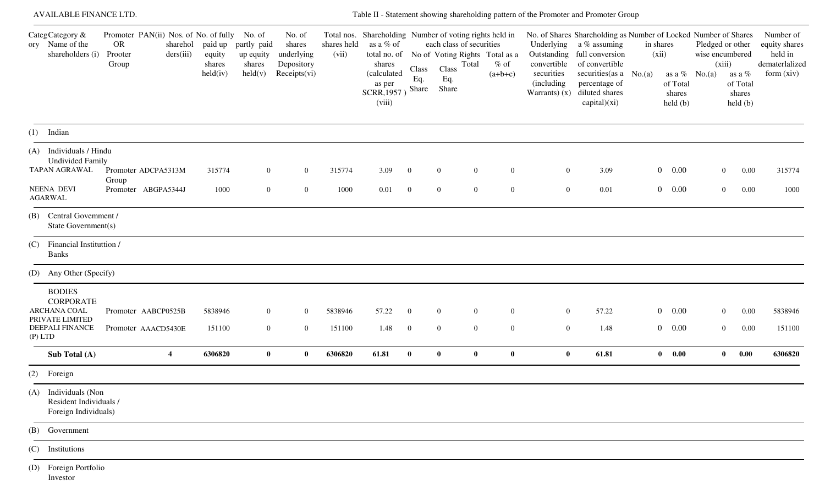| AVAILABLE FINANCE LTD.                                                                               |                                                                        |                       |                                         |                                                        |                                                              |                      |                                                                                                                                  |                                  |                                                                                                           |                                    |                                         | Table II - Statement showing shareholding pattern of the Promoter and Promoter Group                                                                                                                                                          |                    |                                               |                                                                  |                                                         |                                                                       |
|------------------------------------------------------------------------------------------------------|------------------------------------------------------------------------|-----------------------|-----------------------------------------|--------------------------------------------------------|--------------------------------------------------------------|----------------------|----------------------------------------------------------------------------------------------------------------------------------|----------------------------------|-----------------------------------------------------------------------------------------------------------|------------------------------------|-----------------------------------------|-----------------------------------------------------------------------------------------------------------------------------------------------------------------------------------------------------------------------------------------------|--------------------|-----------------------------------------------|------------------------------------------------------------------|---------------------------------------------------------|-----------------------------------------------------------------------|
| CategCategory &<br>ory Name of the<br>shareholders (i)                                               | Promoter PAN(ii) Nos. of No. of fully No. of<br>OR<br>Prooter<br>Group | sharehol<br>ders(iii) | paid up<br>equity<br>shares<br>held(iv) | partly paid<br>up equity<br>shares<br>$\text{held}(v)$ | No. of<br>shares<br>underlying<br>Depository<br>Receipts(vi) | shares held<br>(vii) | Total nos. Shareholding Number of voting rights held in<br>as a % of<br>shares<br>(calculated<br>as per<br>SCRR, 1957)<br>(viii) | Class<br>Eq.<br>Share            | each class of securities<br>total no. of No of Voting Rights Total as a<br>Total<br>Class<br>Eq.<br>Share | $%$ of<br>$(a+b+c)$                | convertible<br>securities<br>(including | No. of Shares Shareholding as Number of Locked Number of Shares<br>Underlying a % assuming<br>Outstanding full conversion<br>of convertible<br>securities (as $a \ No.(a)$<br>percentage of<br>Warrants) $(x)$ diluted shares<br>capital)(xi) | in shares<br>(xii) | of Total<br>shares<br>$\text{held}(\text{b})$ | Pledged or other<br>wise encumbered<br>(xiii)<br>as a $%$ No.(a) | as a %<br>of Total<br>shares<br>$\text{held}(\text{b})$ | Number of<br>equity shares<br>held in<br>dematerlalized<br>form (xiv) |
| $(1)$ Indian                                                                                         |                                                                        |                       |                                         |                                                        |                                                              |                      |                                                                                                                                  |                                  |                                                                                                           |                                    |                                         |                                                                                                                                                                                                                                               |                    |                                               |                                                                  |                                                         |                                                                       |
| (A) Individuals / Hindu<br><b>Undivided Family</b><br>TAPAN AGRAWAL<br>NEENA DEVI<br><b>AGARWAL</b>  | Promoter ADCPA5313M<br>Group<br>Promoter ABGPA5344J                    |                       | 315774<br>1000                          | $\mathbf{0}$<br>$\overline{0}$                         | $\overline{0}$<br>$\mathbf{0}$                               | 315774<br>1000       | 3.09<br>0.01                                                                                                                     | $\overline{0}$<br>$\overline{0}$ | $\overline{0}$<br>$\bf{0}$<br>$\mathbf{0}$<br>$\mathbf{0}$                                                | $\boldsymbol{0}$<br>$\overline{0}$ | $\overline{0}$<br>$\overline{0}$        | 3.09<br>0.01                                                                                                                                                                                                                                  |                    | $0 \t 0.00$<br>$0 \t 0.00$                    | $\overline{0}$<br>$\overline{0}$                                 | 0.00<br>0.00                                            | 315774<br>1000                                                        |
| (B) Central Government /<br>State Government(s)                                                      |                                                                        |                       |                                         |                                                        |                                                              |                      |                                                                                                                                  |                                  |                                                                                                           |                                    |                                         |                                                                                                                                                                                                                                               |                    |                                               |                                                                  |                                                         |                                                                       |
| (C) Financial Instituttion /<br><b>Banks</b>                                                         |                                                                        |                       |                                         |                                                        |                                                              |                      |                                                                                                                                  |                                  |                                                                                                           |                                    |                                         |                                                                                                                                                                                                                                               |                    |                                               |                                                                  |                                                         |                                                                       |
| (D) Any Other (Specify)                                                                              |                                                                        |                       |                                         |                                                        |                                                              |                      |                                                                                                                                  |                                  |                                                                                                           |                                    |                                         |                                                                                                                                                                                                                                               |                    |                                               |                                                                  |                                                         |                                                                       |
| <b>BODIES</b><br><b>CORPORATE</b><br>ARCHANA COAL<br>PRIVATE LIMITED<br>DEEPALI FINANCE<br>$(P)$ LTD | Promoter AABCP0525B<br>Promoter AAACD5430E                             |                       | 5838946<br>151100                       | $\mathbf{0}$<br>$\mathbf{0}$                           | $\overline{0}$<br>$\overline{0}$                             | 5838946<br>151100    | 57.22<br>1.48                                                                                                                    | $\overline{0}$<br>$\bf{0}$       | $\overline{0}$<br>$\Omega$<br>$\boldsymbol{0}$<br>$\overline{0}$                                          | $\overline{0}$<br>$\overline{0}$   | $\overline{0}$<br>$\overline{0}$        | 57.22<br>1.48                                                                                                                                                                                                                                 |                    | $0 \t 0.00$<br>$0\quad 0.00$                  | $\overline{0}$<br>$\overline{0}$                                 | 0.00<br>0.00                                            | 5838946<br>151100                                                     |
| Sub Total (A)                                                                                        |                                                                        | $\overline{4}$        | 6306820                                 | $\mathbf{0}$                                           | $\bf{0}$                                                     | 6306820              | 61.81                                                                                                                            | $\bf{0}$                         | $\bf{0}$<br>$\bf{0}$                                                                                      | $\bf{0}$                           | $\bf{0}$                                | 61.81                                                                                                                                                                                                                                         |                    | $\begin{matrix} 0 & 0.00 \end{matrix}$        | $\mathbf{0}$                                                     | 0.00                                                    | 6306820                                                               |
| $(2)$ Foreign                                                                                        |                                                                        |                       |                                         |                                                        |                                                              |                      |                                                                                                                                  |                                  |                                                                                                           |                                    |                                         |                                                                                                                                                                                                                                               |                    |                                               |                                                                  |                                                         |                                                                       |
| Individuals (Non<br>(A)<br>Resident Individuals /<br>Foreign Individuals)                            |                                                                        |                       |                                         |                                                        |                                                              |                      |                                                                                                                                  |                                  |                                                                                                           |                                    |                                         |                                                                                                                                                                                                                                               |                    |                                               |                                                                  |                                                         |                                                                       |
| (B) Government                                                                                       |                                                                        |                       |                                         |                                                        |                                                              |                      |                                                                                                                                  |                                  |                                                                                                           |                                    |                                         |                                                                                                                                                                                                                                               |                    |                                               |                                                                  |                                                         |                                                                       |
| (C) Institutions                                                                                     |                                                                        |                       |                                         |                                                        |                                                              |                      |                                                                                                                                  |                                  |                                                                                                           |                                    |                                         |                                                                                                                                                                                                                                               |                    |                                               |                                                                  |                                                         |                                                                       |
| (D) Foreign Portfolio<br>Investor                                                                    |                                                                        |                       |                                         |                                                        |                                                              |                      |                                                                                                                                  |                                  |                                                                                                           |                                    |                                         |                                                                                                                                                                                                                                               |                    |                                               |                                                                  |                                                         |                                                                       |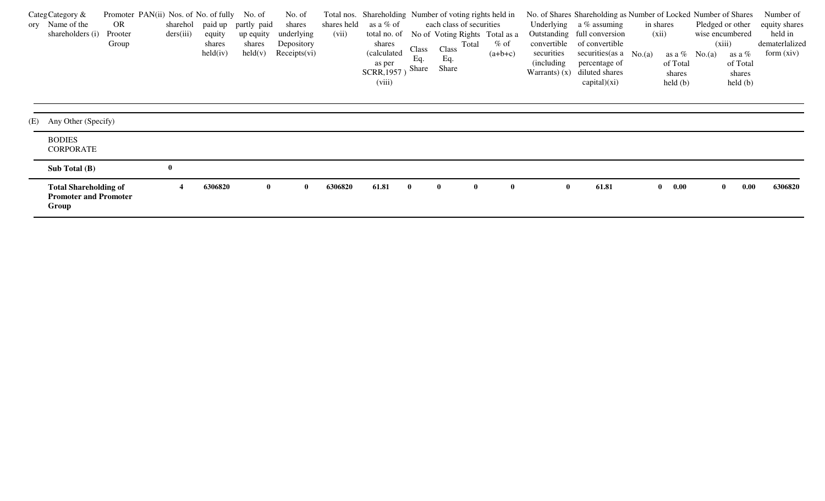| CategCategory &<br>ory Name of the<br>shareholders (i)                | Promoter PAN(ii) Nos. of No. of fully No. of<br>OR.<br>Prooter<br>Group | sharehol<br>ders(iii) | equity<br>shares<br>held(iv) | paid up partly paid<br>up equity<br>shares<br>$\text{held}(v)$ | No. of<br>shares<br>underlying<br>Depository<br>Receipts(vi) | shares held<br>(vii) | as a % of<br>total no. of<br>shares<br>(calculated<br>as per<br>SCRR, 1957<br>(viii) | Class<br>Eq.<br>Share | Total nos. Shareholding Number of voting rights held in<br>each class of securities<br>No of Voting Rights Total as a<br>Total<br>Class<br>Eq.<br>Share | $\%$ of<br>$(a+b+c)$ | convertible<br>securities<br>(including)<br>Warrants $(x)$ | No. of Shares Shareholding as Number of Locked Number of Shares<br>Underlying $a\%$ assuming<br>Outstanding full conversion<br>of convertible<br>securities (as $a \ No.(a)$<br>percentage of<br>diluted shares<br>$\text{capital})(\text{xi})$ | in shares<br>(xii) | of Total<br>shares<br>$\text{held}(\text{b})$ | wise encumbered<br>(xiii)<br>as a $\%$ No.(a) | Pledged or other<br>as a %<br>of Total<br>shares<br>$\text{held}(\text{b})$ | Number of<br>equity shares<br>held in<br>dematerlalized<br>form (xiv) |
|-----------------------------------------------------------------------|-------------------------------------------------------------------------|-----------------------|------------------------------|----------------------------------------------------------------|--------------------------------------------------------------|----------------------|--------------------------------------------------------------------------------------|-----------------------|---------------------------------------------------------------------------------------------------------------------------------------------------------|----------------------|------------------------------------------------------------|-------------------------------------------------------------------------------------------------------------------------------------------------------------------------------------------------------------------------------------------------|--------------------|-----------------------------------------------|-----------------------------------------------|-----------------------------------------------------------------------------|-----------------------------------------------------------------------|
| (E) Any Other (Specify)                                               |                                                                         |                       |                              |                                                                |                                                              |                      |                                                                                      |                       |                                                                                                                                                         |                      |                                                            |                                                                                                                                                                                                                                                 |                    |                                               |                                               |                                                                             |                                                                       |
| <b>BODIES</b><br><b>CORPORATE</b>                                     |                                                                         |                       |                              |                                                                |                                                              |                      |                                                                                      |                       |                                                                                                                                                         |                      |                                                            |                                                                                                                                                                                                                                                 |                    |                                               |                                               |                                                                             |                                                                       |
| Sub Total $(B)$                                                       |                                                                         | $\mathbf{0}$          |                              |                                                                |                                                              |                      |                                                                                      |                       |                                                                                                                                                         |                      |                                                            |                                                                                                                                                                                                                                                 |                    |                                               |                                               |                                                                             |                                                                       |
| <b>Total Shareholding of</b><br><b>Promoter and Promoter</b><br>Group |                                                                         |                       | 6306820                      | $\mathbf{0}$                                                   | $\bf{0}$                                                     | 6306820              | 61.81                                                                                | $\mathbf{0}$          | $\mathbf{0}$                                                                                                                                            | $\bf{0}$             | $\bf{0}$                                                   | 61.81                                                                                                                                                                                                                                           |                    | $\bf{0.00}$<br>$\mathbf{0}$                   |                                               | 0.00<br>$\mathbf{0}$                                                        | 6306820                                                               |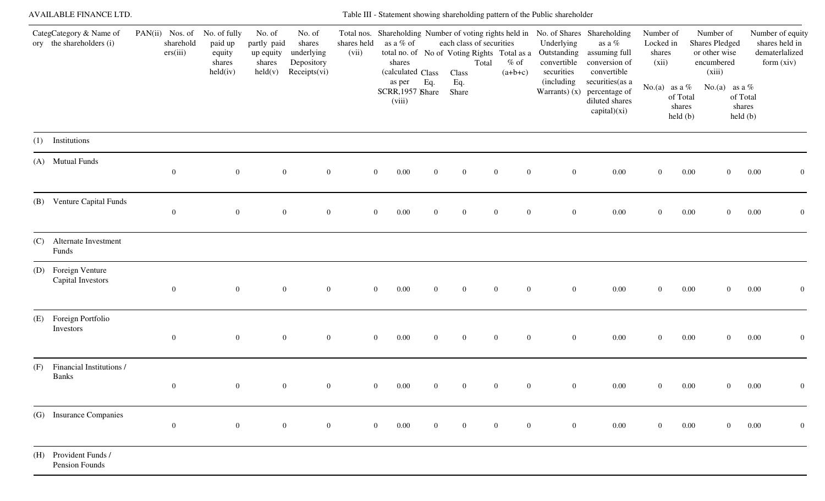|     | <b>AVAILABLE FINANCE LTD.</b>                       |                                          |                                                         |                                                                  |                                                              |                      |                                          |                |                                   |                                                                             | Table III - Statement showing shareholding pattern of the Public shareholder |                                                                                                                                                              |                                           |                                |                                                                             |                                                                    |
|-----|-----------------------------------------------------|------------------------------------------|---------------------------------------------------------|------------------------------------------------------------------|--------------------------------------------------------------|----------------------|------------------------------------------|----------------|-----------------------------------|-----------------------------------------------------------------------------|------------------------------------------------------------------------------|--------------------------------------------------------------------------------------------------------------------------------------------------------------|-------------------------------------------|--------------------------------|-----------------------------------------------------------------------------|--------------------------------------------------------------------|
|     | CategCategory & Name of<br>ory the shareholders (i) | PAN(ii) Nos. of<br>sharehold<br>ers(iii) | No. of fully<br>paid up<br>equity<br>shares<br>held(iv) | No. of<br>partly paid<br>up equity<br>shares<br>$\text{held}(v)$ | No. of<br>shares<br>underlying<br>Depository<br>Receipts(vi) | shares held<br>(vii) | as a % of<br>shares<br>(calculated Class |                | each class of securities<br>Class | total no. of No of Voting Rights Total as a<br>$%$ of<br>Total<br>$(a+b+c)$ | Underlying<br>convertible<br>securities                                      | Total nos. Shareholding Number of voting rights held in No. of Shares Shareholding<br>as a $\%$<br>Outstanding assuming full<br>conversion of<br>convertible | Number of<br>Locked in<br>shares<br>(xii) |                                | Number of<br><b>Shares Pledged</b><br>or other wise<br>encumbered<br>(xiii) | Number of equity<br>shares held in<br>dematerlalized<br>form (xiv) |
|     |                                                     |                                          |                                                         |                                                                  |                                                              |                      | as per<br>SCRR, 1957 Share<br>(viii)     | Eq.            | Eq.<br>Share                      |                                                                             | (including                                                                   | securities (as a<br>Warrants) $(x)$ percentage of<br>diluted shares<br>capital)(xi)                                                                          | No.(a) as a $%$                           | of Total<br>shares<br>held (b) | No.(a) as a %                                                               | of Total<br>shares<br>held(b)                                      |
| (1) | Institutions                                        |                                          |                                                         |                                                                  |                                                              |                      |                                          |                |                                   |                                                                             |                                                                              |                                                                                                                                                              |                                           |                                |                                                                             |                                                                    |
|     | (A) Mutual Funds                                    | $\overline{0}$                           | $\overline{0}$                                          | $\boldsymbol{0}$                                                 | $\overline{0}$                                               |                      | 0.00<br>$\overline{0}$                   | $\mathbf{0}$   | $\mathbf{0}$                      | $\mathbf{0}$<br>$\overline{0}$                                              | $\mathbf{0}$                                                                 | $0.00\,$                                                                                                                                                     | $\mathbf{0}$                              | $0.00\,$                       | $\overline{0}$                                                              | 0.00<br>$\overline{0}$                                             |
|     | (B) Venture Capital Funds                           | $\overline{0}$                           | $\overline{0}$                                          | $\boldsymbol{0}$                                                 | $\overline{0}$                                               |                      | $\overline{0}$<br>0.00                   | $\overline{0}$ | $\overline{0}$                    | $\overline{0}$<br>$\overline{0}$                                            | $\overline{0}$                                                               | $0.00\,$                                                                                                                                                     | $\mathbf{0}$                              | $0.00\,$                       | $\overline{0}$                                                              | 0.00<br>$\overline{0}$                                             |
| (C) | Alternate Investment<br>Funds                       |                                          |                                                         |                                                                  |                                                              |                      |                                          |                |                                   |                                                                             |                                                                              |                                                                                                                                                              |                                           |                                |                                                                             |                                                                    |
| (D) | Foreign Venture<br>Capital Investors                | $\overline{0}$                           | $\overline{0}$                                          | $\boldsymbol{0}$                                                 | $\overline{0}$                                               |                      | 0.00<br>$\overline{0}$                   | $\overline{0}$ | $\bf{0}$                          | $\overline{0}$<br>$\overline{0}$                                            | $\overline{0}$                                                               | $0.00\,$                                                                                                                                                     | $\mathbf{0}$                              | $0.00\,$                       | $\overline{0}$                                                              | 0.00<br>$\mathbf{0}$                                               |
| (E) | Foreign Portfolio<br>Investors                      | $\overline{0}$                           | $\overline{0}$                                          | $\boldsymbol{0}$                                                 | $\overline{0}$                                               |                      | $\overline{0}$<br>0.00                   | $\mathbf{0}$   | $\overline{0}$                    | $\overline{0}$<br>$\overline{0}$                                            | $\overline{0}$                                                               | $0.00\,$                                                                                                                                                     | $\mathbf{0}$                              | $0.00\,$                       | $\overline{0}$                                                              | 0.00<br>$\overline{0}$                                             |
| (F) | Financial Institutions /<br><b>Banks</b>            | $\mathbf{0}$                             | $\overline{0}$                                          | $\boldsymbol{0}$                                                 | $\mathbf{0}$                                                 |                      | 0.00<br>$\mathbf{0}$                     |                | $\overline{0}$                    | $\theta$                                                                    | $\overline{0}$                                                               | $0.00\,$                                                                                                                                                     | $\overline{0}$                            | $0.00\,$                       | $\overline{0}$                                                              | 0.00<br>$\boldsymbol{0}$                                           |
|     | (G) Insurance Companies                             | $\mathbf{0}$                             | $\overline{0}$                                          | $\boldsymbol{0}$                                                 | $\mathbf{0}$                                                 |                      | $\overline{0}$<br>0.00                   | $\overline{0}$ | $\bf{0}$                          | $\overline{0}$<br>$\overline{0}$                                            | $\overline{0}$                                                               | $0.00\,$                                                                                                                                                     | $\overline{0}$                            | $0.00\,$                       | $\overline{0}$                                                              | 0.00<br>$\mathbf{0}$                                               |
|     | (H) Provident Funds /<br>Pension Founds             |                                          |                                                         |                                                                  |                                                              |                      |                                          |                |                                   |                                                                             |                                                                              |                                                                                                                                                              |                                           |                                |                                                                             |                                                                    |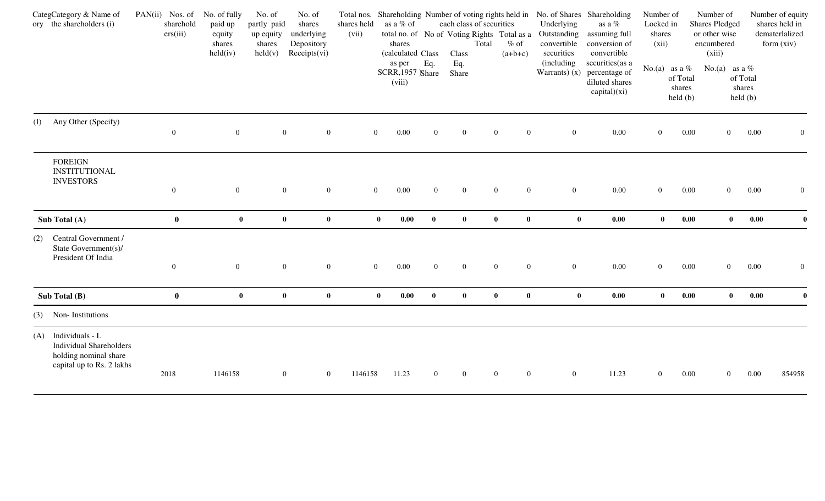|     | CategCategory & Name of<br>ory the shareholders (i)                                                          | $PAN(ii)$ Nos. of<br>sharehold<br>ers(iii) | No. of fully<br>paid up<br>equity<br>shares<br>held(iv) | No. of<br>partly paid<br>up equity<br>shares<br>$\text{held}(v)$ | No. of<br>shares<br>underlying<br>Depository<br>Receipts(vi) | shares held<br>(vii) | as a % of<br>shares<br>(calculated Class |                | each class of securities<br>total no. of No of Voting Rights Total as a<br>Class | Total            | $%$ of<br>$(a+b+c)$ | Underlying<br>Outstanding<br>convertible<br>securities | Total nos. Shareholding Number of voting rights held in No. of Shares Shareholding<br>as a $\%$<br>assuming full<br>conversion of<br>convertible | Number of<br>Locked in<br>shares<br>(xii) |                                                                   | Number of<br><b>Shares Pledged</b><br>or other wise<br>encumbered<br>(xiii) |                               | Number of equity<br>shares held in<br>dematerlalized<br>form $(xiv)$ |
|-----|--------------------------------------------------------------------------------------------------------------|--------------------------------------------|---------------------------------------------------------|------------------------------------------------------------------|--------------------------------------------------------------|----------------------|------------------------------------------|----------------|----------------------------------------------------------------------------------|------------------|---------------------|--------------------------------------------------------|--------------------------------------------------------------------------------------------------------------------------------------------------|-------------------------------------------|-------------------------------------------------------------------|-----------------------------------------------------------------------------|-------------------------------|----------------------------------------------------------------------|
|     |                                                                                                              |                                            |                                                         |                                                                  |                                                              |                      | as per<br>SCRR, 1957 Share<br>(viii)     | Eq.            | Eq.<br>Share                                                                     |                  |                     | (including)<br>Warrants $(x)$                          | securities (as a<br>percentage of<br>diluted shares<br>capital)(xi)                                                                              |                                           | No.(a) as a $%$<br>of Total<br>shares<br>$\text{held }(\text{b})$ | No.(a) as a $%$                                                             | of Total<br>shares<br>held(b) |                                                                      |
|     | (I) Any Other (Specify)                                                                                      | $\overline{0}$                             | $\overline{0}$                                          | $\overline{0}$                                                   | $\overline{0}$                                               |                      | 0.00<br>$\mathbf{0}$                     | $\overline{0}$ | $\mathbf{0}$                                                                     | $\boldsymbol{0}$ | $\overline{0}$      | $\overline{0}$                                         | 0.00                                                                                                                                             | $\overline{0}$                            | 0.00                                                              | $\overline{0}$                                                              | 0.00                          | $\overline{0}$                                                       |
|     | <b>FOREIGN</b><br><b>INSTITUTIONAL</b><br><b>INVESTORS</b>                                                   | $\overline{0}$                             | $\overline{0}$                                          | $\boldsymbol{0}$                                                 | $\boldsymbol{0}$                                             |                      | 0.00<br>$\overline{0}$                   | $\overline{0}$ | $\mathbf{0}$                                                                     | $\overline{0}$   | $\overline{0}$      | $\mathbf{0}$                                           | 0.00                                                                                                                                             | $\boldsymbol{0}$                          | 0.00                                                              | $\overline{0}$                                                              | 0.00                          | $\overline{0}$                                                       |
|     | Sub Total (A)                                                                                                | $\bf{0}$                                   | $\bf{0}$                                                | $\bf{0}$                                                         | $\bf{0}$                                                     |                      | $\bf{0}$<br>$0.00\,$                     | $\bf{0}$       | $\bf{0}$                                                                         | $\bf{0}$         | $\bf{0}$            | $\bf{0}$                                               | $0.00\,$                                                                                                                                         | $\bf{0}$                                  | 0.00                                                              | $\mathbf{0}$                                                                | 0.00                          |                                                                      |
| (2) | Central Government /<br>State Government(s)/<br>President Of India                                           | $\bf{0}$                                   | $\overline{0}$                                          | $\overline{0}$                                                   | $\overline{0}$                                               |                      | 0.00<br>$\overline{0}$                   | $\overline{0}$ | $\overline{0}$                                                                   | $\overline{0}$   | $\overline{0}$      | $\overline{0}$                                         | 0.00                                                                                                                                             | $\overline{0}$                            | 0.00                                                              | $\overline{0}$                                                              | 0.00                          | $\overline{0}$                                                       |
|     | Sub Total $(B)$                                                                                              | $\mathbf{0}$                               | $\mathbf{0}$                                            | $\bf{0}$                                                         | $\bf{0}$                                                     |                      | $\bf{0}$<br>0.00                         | $\mathbf{0}$   | $\mathbf{0}$                                                                     | $\mathbf{0}$     | $\mathbf{0}$        | $\bf{0}$                                               | 0.00                                                                                                                                             | $\mathbf{0}$                              | 0.00                                                              | $\bf{0}$                                                                    | 0.00                          | $\mathbf{0}$                                                         |
|     | (3) Non-Institutions                                                                                         |                                            |                                                         |                                                                  |                                                              |                      |                                          |                |                                                                                  |                  |                     |                                                        |                                                                                                                                                  |                                           |                                                                   |                                                                             |                               |                                                                      |
|     | (A) Individuals - I.<br><b>Individual Shareholders</b><br>holding nominal share<br>capital up to Rs. 2 lakhs | 2018                                       | 1146158                                                 | $\overline{0}$                                                   | $\overline{0}$                                               | 1146158              | 11.23                                    | $\overline{0}$ | $\boldsymbol{0}$                                                                 | $\bf{0}$         | $\overline{0}$      | $\boldsymbol{0}$                                       | 11.23                                                                                                                                            | $\overline{0}$                            | 0.00                                                              | $\overline{0}$                                                              | 0.00                          | 854958                                                               |
|     |                                                                                                              |                                            |                                                         |                                                                  |                                                              |                      |                                          |                |                                                                                  |                  |                     |                                                        |                                                                                                                                                  |                                           |                                                                   |                                                                             |                               |                                                                      |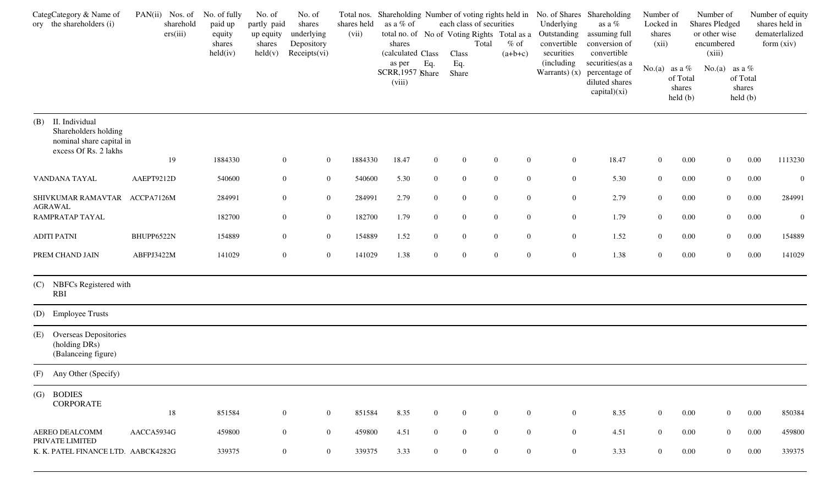| CategCategory & Name of<br>ory the shareholders (i)                                                | $PAN(ii)$ Nos. of<br>sharehold<br>ers(iii) | No. of fully<br>paid up<br>equity<br>shares<br>held(iv) | No. of<br>partly paid<br>up equity<br>shares<br>$\text{held}(v)$ | No. of<br>shares<br>underlying<br>Depository<br>Receipts(vi) | shares held<br>(vii) | as a % of<br>shares<br>(calculated Class |                | each class of securities<br>Total<br>Class | total no. of No of Voting Rights Total as a<br>$%$ of<br>$(a+b+c)$ | Underlying<br>Outstanding<br>convertible<br>securities | Total nos. Shareholding Number of voting rights held in No. of Shares Shareholding<br>as a $\%$<br>assuming full<br>conversion of<br>convertible | Number of<br>Locked in<br>shares<br>(xii) |                                                | Number of<br><b>Shares Pledged</b><br>or other wise<br>encumbered<br>(xiii) |                               | Number of equity<br>shares held in<br>dematerlalized<br>form (xiv) |
|----------------------------------------------------------------------------------------------------|--------------------------------------------|---------------------------------------------------------|------------------------------------------------------------------|--------------------------------------------------------------|----------------------|------------------------------------------|----------------|--------------------------------------------|--------------------------------------------------------------------|--------------------------------------------------------|--------------------------------------------------------------------------------------------------------------------------------------------------|-------------------------------------------|------------------------------------------------|-----------------------------------------------------------------------------|-------------------------------|--------------------------------------------------------------------|
|                                                                                                    |                                            |                                                         |                                                                  |                                                              |                      | as per<br>SCRR, 1957 Share<br>(viii)     | Eq.            | Eq.<br>Share                               |                                                                    | (including)<br>Warrants $(x)$                          | securities (as a<br>percentage of<br>diluted shares<br>$\text{capital})(\text{xi})$                                                              | No.(a) as a $%$                           | of Total<br>shares<br>$\text{held }(\text{b})$ | No.(a) as a $%$                                                             | of Total<br>shares<br>held(b) |                                                                    |
| (B)<br>II. Individual<br>Shareholders holding<br>nominal share capital in<br>excess Of Rs. 2 lakhs |                                            |                                                         |                                                                  |                                                              |                      |                                          |                |                                            |                                                                    |                                                        |                                                                                                                                                  |                                           |                                                |                                                                             |                               |                                                                    |
|                                                                                                    | 19                                         | 1884330                                                 | $\boldsymbol{0}$                                                 | $\overline{0}$                                               | 1884330              | 18.47                                    | $\overline{0}$ | $\boldsymbol{0}$                           | $\overline{0}$<br>$\overline{0}$                                   | $\mathbf{0}$                                           | 18.47                                                                                                                                            | $\overline{0}$                            | 0.00                                           | $\overline{0}$                                                              | 0.00                          | 1113230                                                            |
| VANDANA TAYAL                                                                                      | AAEPT9212D                                 | 540600                                                  | $\overline{0}$                                                   | $\boldsymbol{0}$                                             | 540600               | 5.30                                     | $\overline{0}$ | $\mathbf{0}$                               | $\boldsymbol{0}$<br>$\boldsymbol{0}$                               | $\mathbf{0}$                                           | 5.30                                                                                                                                             | $\overline{0}$                            | 0.00                                           | $\overline{0}$                                                              | 0.00                          | $\overline{0}$                                                     |
| SHIVKUMAR RAMAVTAR ACCPA7126M<br><b>AGRAWAL</b>                                                    |                                            | 284991                                                  | $\overline{0}$                                                   | $\mathbf{0}$                                                 | 284991               | 2.79                                     | $\overline{0}$ | $\boldsymbol{0}$                           | $\boldsymbol{0}$<br>$\boldsymbol{0}$                               | $\mathbf{0}$                                           | 2.79                                                                                                                                             | $\overline{0}$                            | 0.00                                           | $\overline{0}$                                                              | 0.00                          | 284991                                                             |
| RAMPRATAP TAYAL                                                                                    |                                            | 182700                                                  | $\boldsymbol{0}$                                                 | $\boldsymbol{0}$                                             | 182700               | 1.79                                     | $\overline{0}$ | $\boldsymbol{0}$                           | $\boldsymbol{0}$<br>$\boldsymbol{0}$                               | $\mathbf{0}$                                           | 1.79                                                                                                                                             | $\overline{0}$                            | 0.00                                           | $\overline{0}$                                                              | 0.00                          | $\boldsymbol{0}$                                                   |
| <b>ADITI PATNI</b>                                                                                 | BHUPP6522N                                 | 154889                                                  | $\mathbf{0}$                                                     | $\boldsymbol{0}$                                             | 154889               | 1.52                                     | $\overline{0}$ | $\boldsymbol{0}$                           | $\boldsymbol{0}$<br>$\boldsymbol{0}$                               | $\boldsymbol{0}$                                       | 1.52                                                                                                                                             | $\boldsymbol{0}$                          | 0.00                                           | $\overline{0}$                                                              | 0.00                          | 154889                                                             |
| PREM CHAND JAIN                                                                                    | ABFPJ3422M                                 | 141029                                                  | $\mathbf{0}$                                                     | $\boldsymbol{0}$                                             | 141029               | 1.38                                     | $\overline{0}$ | $\boldsymbol{0}$                           | $\boldsymbol{0}$<br>$\overline{0}$                                 | $\boldsymbol{0}$                                       | 1.38                                                                                                                                             | $\overline{0}$                            | 0.00                                           | $\overline{0}$                                                              | 0.00                          | 141029                                                             |
| (C) NBFCs Registered with<br><b>RBI</b>                                                            |                                            |                                                         |                                                                  |                                                              |                      |                                          |                |                                            |                                                                    |                                                        |                                                                                                                                                  |                                           |                                                |                                                                             |                               |                                                                    |
| (D) Employee Trusts                                                                                |                                            |                                                         |                                                                  |                                                              |                      |                                          |                |                                            |                                                                    |                                                        |                                                                                                                                                  |                                           |                                                |                                                                             |                               |                                                                    |
| (E) Overseas Depositories<br>(holding DRs)<br>(Balanceing figure)                                  |                                            |                                                         |                                                                  |                                                              |                      |                                          |                |                                            |                                                                    |                                                        |                                                                                                                                                  |                                           |                                                |                                                                             |                               |                                                                    |
| (F) Any Other (Specify)                                                                            |                                            |                                                         |                                                                  |                                                              |                      |                                          |                |                                            |                                                                    |                                                        |                                                                                                                                                  |                                           |                                                |                                                                             |                               |                                                                    |
| (G) BODIES<br><b>CORPORATE</b>                                                                     |                                            |                                                         |                                                                  |                                                              |                      |                                          |                |                                            |                                                                    |                                                        |                                                                                                                                                  |                                           |                                                |                                                                             |                               |                                                                    |
|                                                                                                    | 18                                         | 851584                                                  | $\overline{0}$                                                   | $\overline{0}$                                               | 851584               | 8.35                                     | $\overline{0}$ | $\bf{0}$                                   | $\bf{0}$<br>$\mathbf{0}$                                           | $\overline{0}$                                         | 8.35                                                                                                                                             | $\overline{0}$                            | 0.00                                           | $\overline{0}$                                                              | 0.00                          | 850384                                                             |
| <b>AEREO DEALCOMM</b><br>PRIVATE LIMITED                                                           | AACCA5934G                                 | 459800                                                  | $\overline{0}$                                                   | $\overline{0}$                                               | 459800               | 4.51                                     | $\mathbf{0}$   | $\overline{0}$                             | $\overline{0}$<br>$\overline{0}$                                   | $\overline{0}$                                         | 4.51                                                                                                                                             | $\overline{0}$                            | 0.00                                           | $\overline{0}$                                                              | $0.00\,$                      | 459800                                                             |
| K. K. PATEL FINANCE LTD. AABCK4282G                                                                |                                            | 339375                                                  | $\overline{0}$                                                   | $\overline{0}$                                               | 339375               | 3.33                                     | $\overline{0}$ | $\overline{0}$                             | $\mathbf{0}$<br>$\mathbf{0}$                                       | $\overline{0}$                                         | 3.33                                                                                                                                             | $\overline{0}$                            | 0.00                                           | $\overline{0}$                                                              | $0.00\,$                      | 339375                                                             |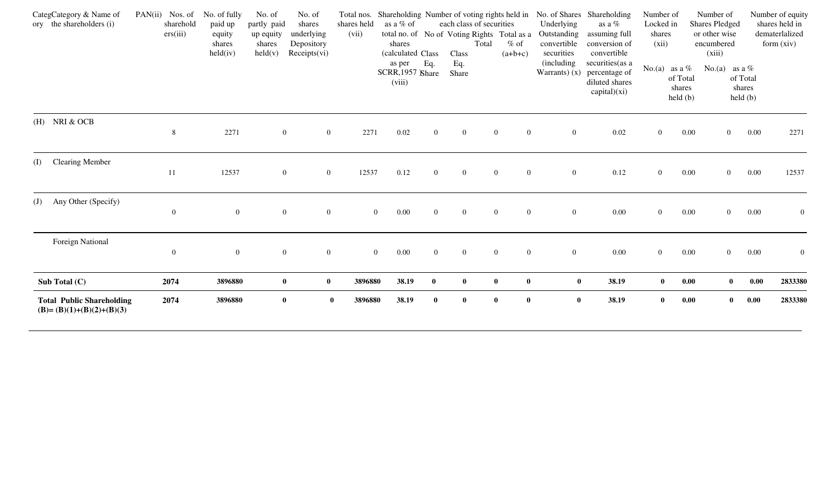| CategCategory & Name of<br>ory the shareholders (i)            | $PAN(ii)$ Nos. of<br>sharehold | No. of fully<br>paid up      | No. of<br>No. of<br>partly paid<br>shares                                           | shares held      |                  | Total nos. Shareholding Number of voting rights held in<br>as a % of |                | each class of securities                             |                              | Underlying                               | No. of Shares Shareholding<br>as a %                                | Number of<br>Locked in |                                                                   | Number of<br><b>Shares Pledged</b>    |                                                | Number of equity<br>shares held in |
|----------------------------------------------------------------|--------------------------------|------------------------------|-------------------------------------------------------------------------------------|------------------|------------------|----------------------------------------------------------------------|----------------|------------------------------------------------------|------------------------------|------------------------------------------|---------------------------------------------------------------------|------------------------|-------------------------------------------------------------------|---------------------------------------|------------------------------------------------|------------------------------------|
|                                                                | ers(iii)                       | equity<br>shares<br>held(iv) | underlying<br>up equity<br>Depository<br>shares<br>Receipts(vi)<br>$\text{held}(v)$ | (vii)            |                  | shares<br>(calculated Class                                          |                | total no. of No of Voting Rights Total as a<br>Class | $%$ of<br>Total<br>$(a+b+c)$ | Outstanding<br>convertible<br>securities | assuming full<br>conversion of<br>convertible                       | shares<br>(xii)        |                                                                   | or other wise<br>encumbered<br>(xiii) |                                                | dematerlalized<br>form $(xiv)$     |
|                                                                |                                |                              |                                                                                     |                  |                  | as per<br>SCRR, 1957 Share<br>(viii)                                 | Eq.            | Eq.<br>Share                                         |                              | (including)<br>Warrants $(x)$            | securities (as a<br>percentage of<br>diluted shares<br>capital)(xi) |                        | No.(a) as a $%$<br>of Total<br>shares<br>$\text{held }(\text{b})$ | No.(a) as a $%$                       | of Total<br>shares<br>$\text{held }(\text{b})$ |                                    |
| (H) NRI & OCB                                                  | 8                              | 2271                         | $\boldsymbol{0}$                                                                    | $\mathbf{0}$     | 2271             | 0.02                                                                 | $\overline{0}$ | $\mathbf{0}$                                         | $\overline{0}$               | $\boldsymbol{0}$<br>$\overline{0}$       | 0.02                                                                | $\boldsymbol{0}$       | 0.00                                                              | $\overline{0}$                        | 0.00                                           | 2271                               |
| <b>Clearing Member</b><br>(I)                                  | 11                             | 12537                        | $\overline{0}$                                                                      | $\overline{0}$   | 12537            | 0.12                                                                 | $\overline{0}$ | $\overline{0}$                                       | $\overline{0}$               | $\overline{0}$<br>$\overline{0}$         | 0.12                                                                | $\overline{0}$         | 0.00                                                              | $\overline{0}$                        | 0.00                                           | 12537                              |
| Any Other (Specify)<br>(J)                                     | $\boldsymbol{0}$               | $\overline{0}$               | $\boldsymbol{0}$                                                                    | $\boldsymbol{0}$ | $\boldsymbol{0}$ | 0.00                                                                 | $\overline{0}$ | $\overline{0}$                                       | $\boldsymbol{0}$             | $\overline{0}$<br>$\boldsymbol{0}$       | 0.00                                                                | $\boldsymbol{0}$       | 0.00                                                              | $\overline{0}$                        | 0.00                                           | $\mathbf{0}$                       |
| Foreign National                                               | $\mathbf{0}$                   | $\overline{0}$               | $\overline{0}$                                                                      | $\overline{0}$   | $\overline{0}$   | 0.00                                                                 | $\overline{0}$ | $\mathbf{0}$                                         | $\mathbf{0}$                 | $\mathbf{0}$<br>$\overline{0}$           | 0.00                                                                | $\overline{0}$         | 0.00                                                              | $\overline{0}$                        | 0.00                                           | $\overline{0}$                     |
| Sub Total (C)                                                  | 2074                           | 3896880                      | $\bf{0}$                                                                            | $\bf{0}$         | 3896880          | 38.19                                                                | $\bf{0}$       | $\bf{0}$                                             | $\bf{0}$                     | $\mathbf{0}$                             | $\pmb{0}$<br>38.19                                                  | $\bf{0}$               | 0.00                                                              | $\bf{0}$                              | 0.00                                           | 2833380                            |
| <b>Total Public Shareholding</b><br>$(B)=(B)(1)+(B)(2)+(B)(3)$ | 2074                           | 3896880                      | $\bf{0}$                                                                            | $\mathbf{0}$     | 3896880          | 38.19                                                                | $\mathbf{0}$   | $\bf{0}$                                             | $\bf{0}$                     | $\bf{0}$                                 | $\bf{0}$<br>38.19                                                   | $\mathbf{0}$           | 0.00                                                              | $\mathbf{0}$                          | 0.00                                           | 2833380                            |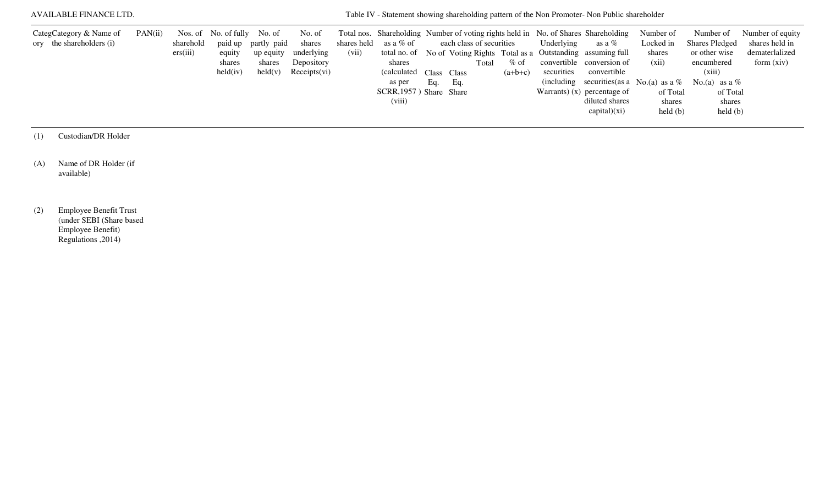| AVAILABLE FINANCE LTD.                              |         |                       |                                                                      |                                                                |                                                              |       |                                                                                                            |     |                                 |       |                     |                          | Table IV - Statement showing shareholding pattern of the Non Promoter- Non Public shareholder                                                                                                                                                                                                        |                                                                                            |                                                                                                                                                                                         |                                                                      |
|-----------------------------------------------------|---------|-----------------------|----------------------------------------------------------------------|----------------------------------------------------------------|--------------------------------------------------------------|-------|------------------------------------------------------------------------------------------------------------|-----|---------------------------------|-------|---------------------|--------------------------|------------------------------------------------------------------------------------------------------------------------------------------------------------------------------------------------------------------------------------------------------------------------------------------------------|--------------------------------------------------------------------------------------------|-----------------------------------------------------------------------------------------------------------------------------------------------------------------------------------------|----------------------------------------------------------------------|
| CategCategory & Name of<br>ory the shareholders (i) | PAN(ii) | sharehold<br>ers(iii) | Nos. of No. of fully No. of<br>equity<br>shares<br>$\text{held}(iv)$ | paid up partly paid<br>up equity<br>shares<br>$\text{held}(v)$ | No. of<br>shares<br>underlying<br>Depository<br>Receipts(vi) | (vii) | shares held as a % of<br>shares<br>(calculated Class Class)<br>as per<br>SCRR, 1957) Share Share<br>(viii) | Eq. | each class of securities<br>Eq. | Total | $%$ of<br>$(a+b+c)$ | Underlying<br>securities | Total nos. Shareholding Number of voting rights held in No. of Shares Shareholding<br>as a %<br>total no. of No of Voting Rights Total as a Outstanding assuming full<br>convertible conversion of<br>convertible<br>Warrants) $(x)$ percentage of<br>diluted shares<br>$\text{capital})(\text{xi})$ | Number of<br>Locked in<br>shares<br>(xii)<br>of Total<br>shares<br>$\text{held}(\text{b})$ | Number of<br><b>Shares Pledged</b><br>or other wise<br>encumbered<br>(xiii)<br>(including securities (as a No.(a) as a % No.(a) as a %<br>of Total<br>shares<br>$\text{held}(\text{b})$ | Number of equity<br>shares held in<br>dematerlalized<br>form $(xiv)$ |

(1) Custodian/DR Holder

(A) Name of DR Holder (if available)

(2) Employee Benefit Trust (under SEBI (Share based Employee Benefit) Regulations ,2014)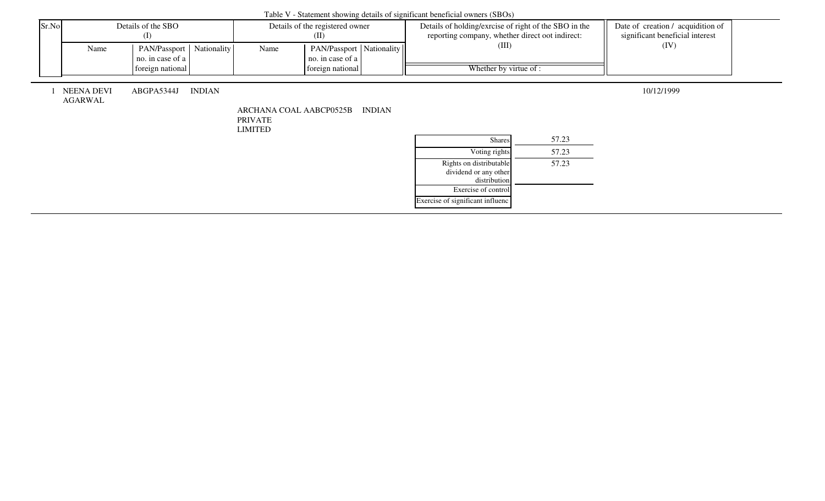|       |                              |                                                |               |                                           |                                              |               | Tuble + Statement showing actums of significant centricial owners (SDOS)                                 |       |                                                                      |  |
|-------|------------------------------|------------------------------------------------|---------------|-------------------------------------------|----------------------------------------------|---------------|----------------------------------------------------------------------------------------------------------|-------|----------------------------------------------------------------------|--|
| Sr.No |                              | Details of the SBO<br>$\rm (I)$                |               |                                           | Details of the registered owner<br>(II)      |               | Details of holding/exrcise of right of the SBO in the<br>reporting company, whether direct oot indirect: |       | Date of creation / acquidition of<br>significant beneficial interest |  |
|       | Name                         | PAN/Passport   Nationality<br>no. in case of a |               | Name                                      | PAN/Passport Nationality<br>no. in case of a |               | (III)                                                                                                    |       | (IV)                                                                 |  |
|       |                              | foreign national                               |               |                                           | foreign national                             |               | Whether by virtue of :                                                                                   |       |                                                                      |  |
|       | <b>NEENA DEVI</b><br>AGARWAL | ABGPA5344J                                     | <b>INDIAN</b> | ARCHANA COAL AABCP0525B<br><b>PRIVATE</b> |                                              | <b>INDIAN</b> |                                                                                                          |       | 10/12/1999                                                           |  |
|       |                              |                                                |               | <b>LIMITED</b>                            |                                              |               | Shares                                                                                                   | 57.23 |                                                                      |  |
|       |                              |                                                |               |                                           |                                              |               | Voting rights                                                                                            | 57.23 |                                                                      |  |
|       |                              |                                                |               |                                           |                                              |               | Rights on distributable<br>dividend or any other<br>distribution                                         | 57.23 |                                                                      |  |
|       |                              |                                                |               |                                           |                                              |               | Exercise of control                                                                                      |       |                                                                      |  |
|       |                              |                                                |               |                                           |                                              |               | Exercise of significant influenc                                                                         |       |                                                                      |  |

## Table V - Statement showing details of significant beneficial owners (SBOs)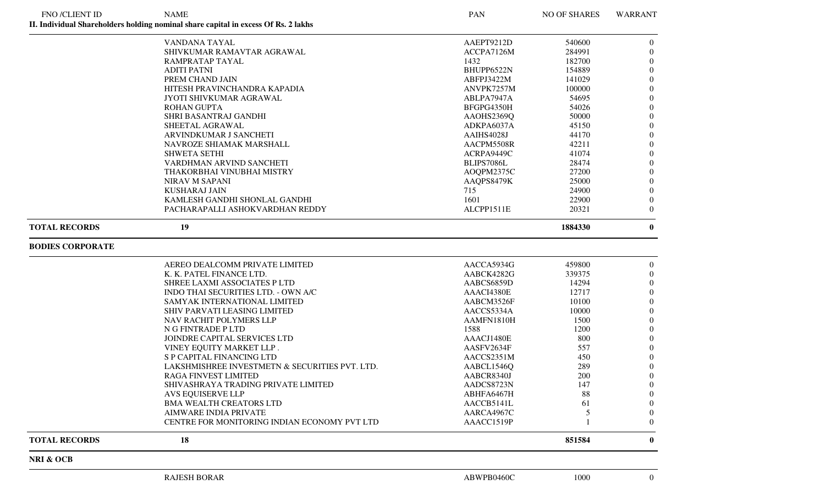| <b>FNO /CLIENT ID</b>   | <b>NAME</b>                                                                        | PAN                      | NO OF SHARES | WARRANT                      |
|-------------------------|------------------------------------------------------------------------------------|--------------------------|--------------|------------------------------|
|                         | II. Individual Shareholders holding nominal share capital in excess Of Rs. 2 lakhs |                          |              |                              |
|                         | VANDANA TAYAL                                                                      | AAEPT9212D               | 540600       | $\overline{0}$               |
|                         | SHIVKUMAR RAMAVTAR AGRAWAL                                                         | ACCPA7126M               | 284991       | $\overline{0}$               |
|                         | RAMPRATAP TAYAL                                                                    | 1432                     | 182700       | $\overline{0}$               |
|                         | <b>ADITI PATNI</b>                                                                 | BHUPP6522N               | 154889       | $\overline{0}$               |
|                         | PREM CHAND JAIN                                                                    | ABFPJ3422M               | 141029       | $\overline{0}$               |
|                         | HITESH PRAVINCHANDRA KAPADIA                                                       | ANVPK7257M               | 100000       | $\boldsymbol{0}$             |
|                         | JYOTI SHIVKUMAR AGRAWAL                                                            | ABLPA7947A               | 54695        | $\boldsymbol{0}$             |
|                         | <b>ROHAN GUPTA</b>                                                                 | BFGPG4350H               | 54026        | $\boldsymbol{0}$             |
|                         | SHRI BASANTRAJ GANDHI                                                              | AAOHS2369Q               | 50000        | $\overline{0}$               |
|                         | SHEETAL AGRAWAL                                                                    | ADKPA6037A               | 45150        | $\overline{0}$               |
|                         | ARVINDKUMAR J SANCHETI                                                             | AAIHS4028J               | 44170        | $\overline{0}$               |
|                         | NAVROZE SHIAMAK MARSHALL                                                           | AACPM5508R               | 42211        | $\overline{0}$               |
|                         | <b>SHWETA SETHI</b>                                                                |                          | 41074        | $\overline{0}$               |
|                         |                                                                                    | ACRPA9449C               |              |                              |
|                         | VARDHMAN ARVIND SANCHETI                                                           | BLIPS7086L               | 28474        | $\boldsymbol{0}$             |
|                         | THAKORBHAI VINUBHAI MISTRY                                                         | AOQPM2375C               | 27200        | $\boldsymbol{0}$             |
|                         | <b>NIRAV M SAPANI</b>                                                              | AAQPS8479K               | 25000        | $\boldsymbol{0}$             |
|                         | <b>KUSHARAJ JAIN</b>                                                               | 715                      | 24900        | $\overline{0}$               |
|                         | KAMLESH GANDHI SHONLAL GANDHI                                                      | 1601                     | 22900        | $\overline{0}$               |
|                         | PACHARAPALLI ASHOKVARDHAN REDDY                                                    | ALCPP1511E               | 20321        | $\overline{0}$               |
| <b>TOTAL RECORDS</b>    | 19                                                                                 |                          | 1884330      | $\mathbf{0}$                 |
| <b>BODIES CORPORATE</b> |                                                                                    |                          |              |                              |
|                         | AEREO DEALCOMM PRIVATE LIMITED                                                     | AACCA5934G               | 459800       | $\overline{0}$               |
|                         | K. K. PATEL FINANCE LTD.                                                           | AABCK4282G               | 339375       | $\overline{0}$               |
|                         | SHREE LAXMI ASSOCIATES P LTD                                                       | AABCS6859D               | 14294        | $\boldsymbol{0}$             |
|                         | INDO THAI SECURITIES LTD. - OWN A/C                                                | AAACI4380E               | 12717        | $\overline{0}$               |
|                         | SAMYAK INTERNATIONAL LIMITED                                                       | AABCM3526F               | 10100        | $\overline{0}$               |
|                         | SHIV PARVATI LEASING LIMITED                                                       | AACCS5334A               | 10000        | $\overline{0}$               |
|                         | NAV RACHIT POLYMERS LLP                                                            | AAMFN1810H               | 1500         | $\boldsymbol{0}$             |
|                         | N G FINTRADE P LTD                                                                 | 1588                     | 1200         | $\boldsymbol{0}$             |
|                         | JOINDRE CAPITAL SERVICES LTD                                                       | AAACJ1480E               | 800          | $\boldsymbol{0}$             |
|                         | VINEY EQUITY MARKET LLP.                                                           | AASFV2634F               | 557          | $\overline{0}$               |
|                         | S P CAPITAL FINANCING LTD                                                          | AACCS2351M               | 450          | $\overline{0}$               |
|                         | LAKSHMISHREE INVESTMETN & SECURITIES PVT. LTD.                                     | AABCL1546Q               | 289          | $\overline{0}$               |
|                         | RAGA FINVEST LIMITED                                                               | AABCR8340J               | 200          | $\Omega$                     |
|                         | SHIVASHRAYA TRADING PRIVATE LIMITED                                                |                          |              |                              |
|                         | <b>AVS EQUISERVE LLP</b>                                                           | AADCS8723N               | 147<br>88    | $\overline{0}$               |
|                         |                                                                                    | ABHFA6467H               |              | $\theta$                     |
|                         | <b>BMA WEALTH CREATORS LTD</b>                                                     | AACCB5141L               | 61           | $\overline{0}$               |
|                         | AIMWARE INDIA PRIVATE<br>CENTRE FOR MONITORING INDIAN ECONOMY PVT LTD              | AARCA4967C<br>AAACC1519P | 5            | $\boldsymbol{0}$<br>$\theta$ |
| <b>TOTAL RECORDS</b>    | 18                                                                                 |                          | 851584       | $\bf{0}$                     |
|                         |                                                                                    |                          |              |                              |
| NRI & OCB               |                                                                                    |                          |              |                              |
|                         | <b>RAJESH BORAR</b>                                                                | ABWPB0460C               | 1000         | $\overline{0}$               |